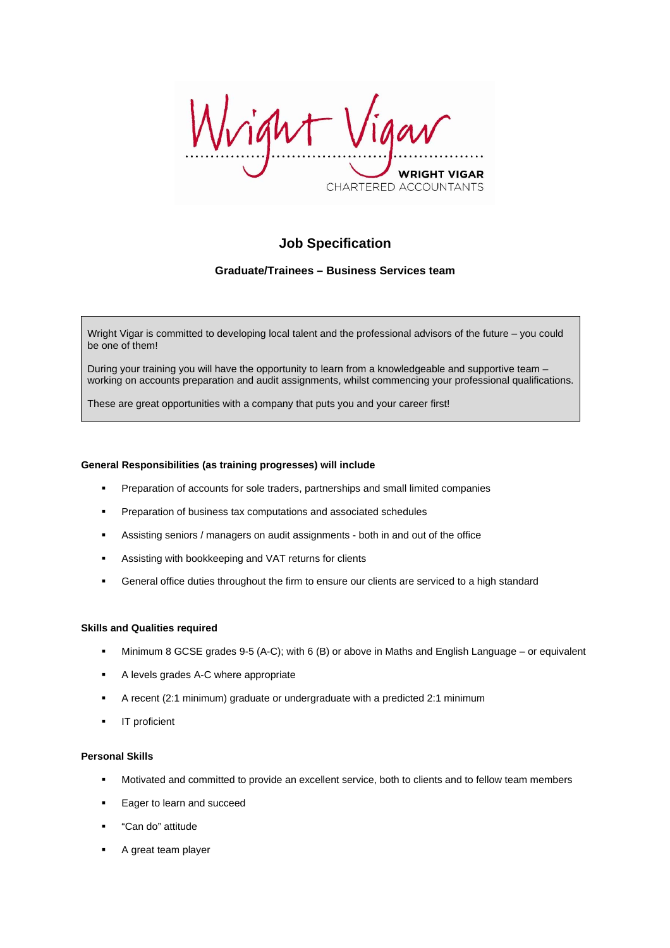vight WRIGHT VIGAR CHARTERED ACCOUNTANTS

# **Job Specification**

# **Graduate/Trainees – Business Services team**

Wright Vigar is committed to developing local talent and the professional advisors of the future – you could be one of them!

During your training you will have the opportunity to learn from a knowledgeable and supportive team – working on accounts preparation and audit assignments, whilst commencing your professional qualifications.

These are great opportunities with a company that puts you and your career first!

## **General Responsibilities (as training progresses) will include**

- **Preparation of accounts for sole traders, partnerships and small limited companies**
- **Preparation of business tax computations and associated schedules**
- Assisting seniors / managers on audit assignments both in and out of the office
- Assisting with bookkeeping and VAT returns for clients
- General office duties throughout the firm to ensure our clients are serviced to a high standard

## **Skills and Qualities required**

- Minimum 8 GCSE grades 9-5 (A-C); with 6 (B) or above in Maths and English Language or equivalent
- **A levels grades A-C where appropriate**
- A recent (2:1 minimum) graduate or undergraduate with a predicted 2:1 minimum
- IT proficient

#### **Personal Skills**

- Motivated and committed to provide an excellent service, both to clients and to fellow team members
- Eager to learn and succeed
- "Can do" attitude
- A great team player